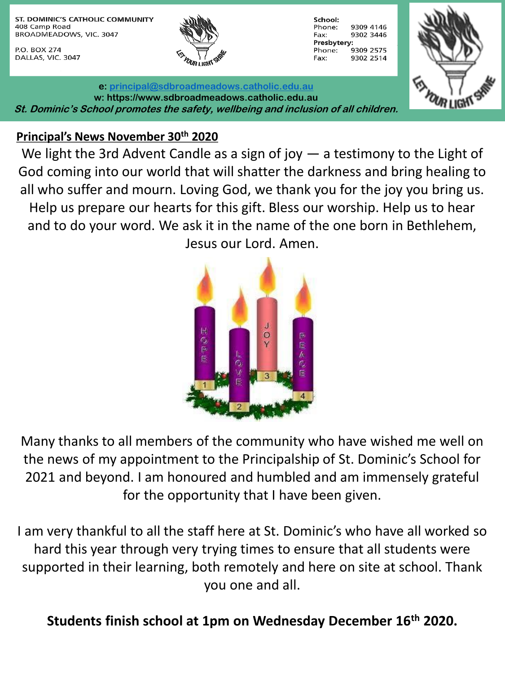ST. DOMINIC'S CATHOLIC COMMUNITY 408 Camp Road BROADMEADOWS, VIC. 3047

P.O. BOX 274 DALLAS, VIC. 3047



| School:     |           |  |
|-------------|-----------|--|
| Phone:      | 9309 4146 |  |
| Fax:        | 9302 3446 |  |
| Presbytery: |           |  |
| Phone:      | 9309 2575 |  |
| Fax:        | 9302 2514 |  |



**e: [principal@sdbroadmeadows.catholic.edu.au](mailto:principal@sdbroadmeadows.catholic.edu.au) w: https://www.sdbroadmeadows.catholic.edu.au St. Dominic's School promotes the safety, wellbeing and inclusion of all children.**

#### **Principal's News November 30th 2020**

We light the 3rd Advent Candle as a sign of joy — a testimony to the Light of God coming into our world that will shatter the darkness and bring healing to all who suffer and mourn. Loving God, we thank you for the joy you bring us. Help us prepare our hearts for this gift. Bless our worship. Help us to hear and to do your word. We ask it in the name of the one born in Bethlehem, Jesus our Lord. Amen.



Many thanks to all members of the community who have wished me well on the news of my appointment to the Principalship of St. Dominic's School for 2021 and beyond. I am honoured and humbled and am immensely grateful for the opportunity that I have been given.

I am very thankful to all the staff here at St. Dominic's who have all worked so hard this year through very trying times to ensure that all students were supported in their learning, both remotely and here on site at school. Thank you one and all.

**Students finish school at 1pm on Wednesday December 16th 2020.**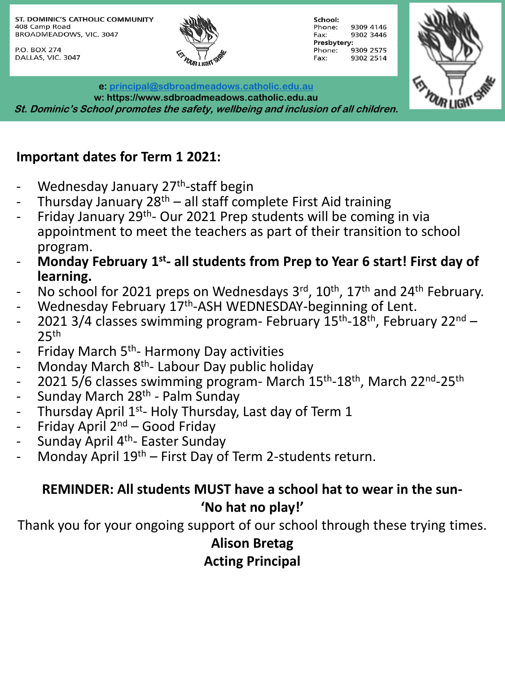ST. DOMINIC'S CATHOLIC COMMUNITY 408 Camp Road BROADMEADOWS, VIC. 3047

P.O. BOX 274 DALLAS, VIC. 3047



School: Phone: 9309 4146 9302 3446 Fax: Presbytery: 9309 2575 Phone: Fax: 9302 2514



**e: [principal@sdbroadmeadows.catholic.edu.au](mailto:principal@sdbroadmeadows.catholic.edu.au) w: https://www.sdbroadmeadows.catholic.edu.au St. Dominic's School promotes the safety, wellbeing and inclusion of all children.**

## **Important dates for Term 1 2021:**

- Wednesday January 27<sup>th</sup>-staff begin
- Thursday January  $28<sup>th</sup>$  all staff complete First Aid training
- Friday January 29<sup>th</sup>- Our 2021 Prep students will be coming in via appointment to meet the teachers as part of their transition to school program.
- **Monday February 1st - all students from Prep to Year 6 start! First day of learning.**
- No school for 2021 preps on Wednesdays 3rd, 10<sup>th</sup>, 17<sup>th</sup> and 24<sup>th</sup> February.
- Wednesday February 17<sup>th</sup>-ASH WEDNESDAY-beginning of Lent.
- 2021 3/4 classes swimming program- February 15<sup>th</sup>-18<sup>th</sup>, February 22<sup>nd</sup>  $25<sup>th</sup>$
- Friday March 5<sup>th</sup>- Harmony Day activities
- Monday March 8<sup>th</sup>- Labour Day public holiday
- 2021 5/6 classes swimming program- March 15<sup>th</sup>-18<sup>th</sup>, March 22<sup>nd</sup>-25<sup>th</sup>
- Sunday March 28<sup>th</sup> Palm Sunday
- Thursday April 1<sup>st</sup>- Holy Thursday, Last day of Term 1
- Friday April  $2^{nd}$  Good Friday
- Sunday April 4<sup>th</sup>- Easter Sunday
- Monday April  $19<sup>th</sup>$  First Day of Term 2-students return.

## **REMINDER: All students MUST have a school hat to wear in the sun- 'No hat no play!'**

Thank you for your ongoing support of our school through these trying times.

# **Alison Bretag**

**Acting Principal**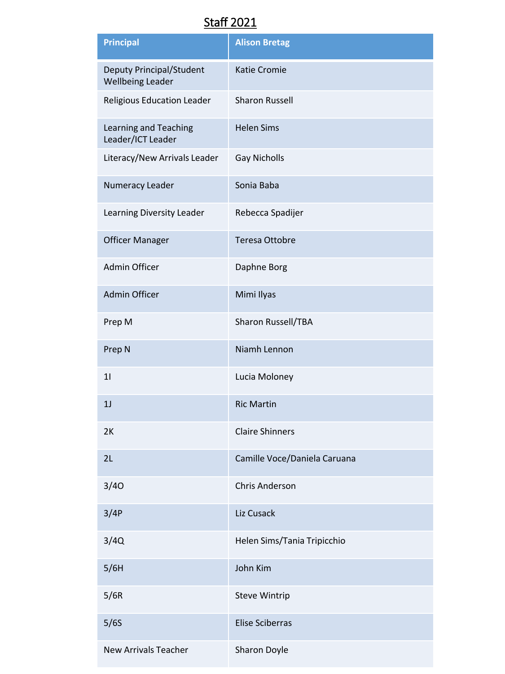### Staff 2021

| <b>Principal</b>                                    | <b>Alison Bretag</b>         |
|-----------------------------------------------------|------------------------------|
| Deputy Principal/Student<br><b>Wellbeing Leader</b> | <b>Katie Cromie</b>          |
| Religious Education Leader                          | <b>Sharon Russell</b>        |
| Learning and Teaching<br>Leader/ICT Leader          | <b>Helen Sims</b>            |
| Literacy/New Arrivals Leader                        | <b>Gay Nicholls</b>          |
| Numeracy Leader                                     | Sonia Baba                   |
| Learning Diversity Leader                           | Rebecca Spadijer             |
| <b>Officer Manager</b>                              | <b>Teresa Ottobre</b>        |
| Admin Officer                                       | Daphne Borg                  |
| <b>Admin Officer</b>                                | Mimi Ilyas                   |
| Prep M                                              | Sharon Russell/TBA           |
| Prep N                                              | Niamh Lennon                 |
| 11                                                  | Lucia Moloney                |
| 1 <sub>J</sub>                                      | <b>Ric Martin</b>            |
| 2K                                                  | <b>Claire Shinners</b>       |
| 2L                                                  | Camille Voce/Daniela Caruana |
| 3/40                                                | <b>Chris Anderson</b>        |
| 3/4P                                                | Liz Cusack                   |
| 3/4Q                                                | Helen Sims/Tania Tripicchio  |
| 5/6H                                                | John Kim                     |
| 5/6R                                                | <b>Steve Wintrip</b>         |
| 5/6S                                                | <b>Elise Sciberras</b>       |
| <b>New Arrivals Teacher</b>                         | Sharon Doyle                 |